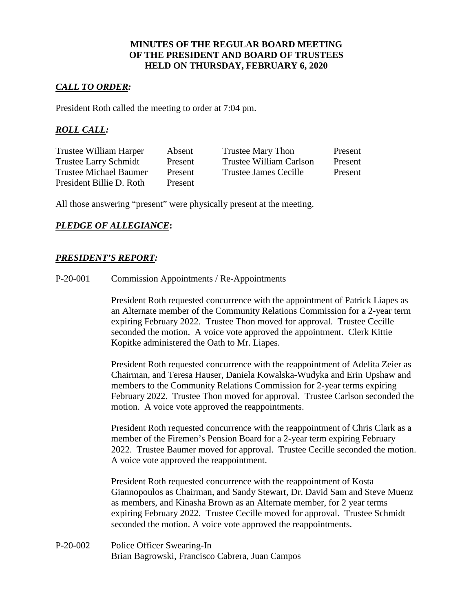### **MINUTES OF THE REGULAR BOARD MEETING OF THE PRESIDENT AND BOARD OF TRUSTEES HELD ON THURSDAY, FEBRUARY 6, 2020**

### *CALL TO ORDER:*

President Roth called the meeting to order at 7:04 pm.

## *ROLL CALL:*

| Trustee William Harper        | Absent  | Trustee Mary Thon            | Present |
|-------------------------------|---------|------------------------------|---------|
| <b>Trustee Larry Schmidt</b>  | Present | Trustee William Carlson      | Present |
| <b>Trustee Michael Baumer</b> | Present | <b>Trustee James Cecille</b> | Present |
| President Billie D. Roth      | Present |                              |         |

All those answering "present" were physically present at the meeting.

## *PLEDGE OF ALLEGIANCE***:**

## *PRESIDENT'S REPORT:*

P-20-001 Commission Appointments / Re-Appointments

President Roth requested concurrence with the appointment of Patrick Liapes as an Alternate member of the Community Relations Commission for a 2-year term expiring February 2022. Trustee Thon moved for approval. Trustee Cecille seconded the motion. A voice vote approved the appointment. Clerk Kittie Kopitke administered the Oath to Mr. Liapes.

President Roth requested concurrence with the reappointment of Adelita Zeier as Chairman, and Teresa Hauser, Daniela Kowalska-Wudyka and Erin Upshaw and members to the Community Relations Commission for 2-year terms expiring February 2022. Trustee Thon moved for approval. Trustee Carlson seconded the motion. A voice vote approved the reappointments.

President Roth requested concurrence with the reappointment of Chris Clark as a member of the Firemen's Pension Board for a 2-year term expiring February 2022. Trustee Baumer moved for approval. Trustee Cecille seconded the motion. A voice vote approved the reappointment.

President Roth requested concurrence with the reappointment of Kosta Giannopoulos as Chairman, and Sandy Stewart, Dr. David Sam and Steve Muenz as members, and Kinasha Brown as an Alternate member, for 2 year terms expiring February 2022. Trustee Cecille moved for approval. Trustee Schmidt seconded the motion. A voice vote approved the reappointments.

P-20-002 Police Officer Swearing-In Brian Bagrowski, Francisco Cabrera, Juan Campos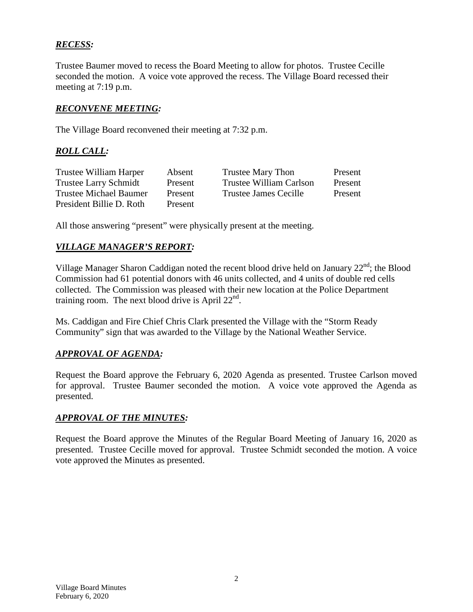# *RECESS:*

Trustee Baumer moved to recess the Board Meeting to allow for photos. Trustee Cecille seconded the motion. A voice vote approved the recess. The Village Board recessed their meeting at 7:19 p.m.

## *RECONVENE MEETING:*

The Village Board reconvened their meeting at 7:32 p.m.

## *ROLL CALL:*

| Trustee William Harper       | Absent  | Trustee Mary Thon       | Present |
|------------------------------|---------|-------------------------|---------|
| <b>Trustee Larry Schmidt</b> | Present | Trustee William Carlson | Present |
| Trustee Michael Baumer       | Present | Trustee James Cecille   | Present |
| President Billie D. Roth     | Present |                         |         |

All those answering "present" were physically present at the meeting.

### *VILLAGE MANAGER'S REPORT:*

Village Manager Sharon Caddigan noted the recent blood drive held on January  $22<sup>nd</sup>$ ; the Blood Commission had 61 potential donors with 46 units collected, and 4 units of double red cells collected. The Commission was pleased with their new location at the Police Department training room. The next blood drive is April  $22<sup>nd</sup>$ .

Ms. Caddigan and Fire Chief Chris Clark presented the Village with the "Storm Ready Community" sign that was awarded to the Village by the National Weather Service.

### *APPROVAL OF AGENDA:*

Request the Board approve the February 6, 2020 Agenda as presented. Trustee Carlson moved for approval. Trustee Baumer seconded the motion. A voice vote approved the Agenda as presented.

### *APPROVAL OF THE MINUTES:*

Request the Board approve the Minutes of the Regular Board Meeting of January 16, 2020 as presented. Trustee Cecille moved for approval. Trustee Schmidt seconded the motion. A voice vote approved the Minutes as presented.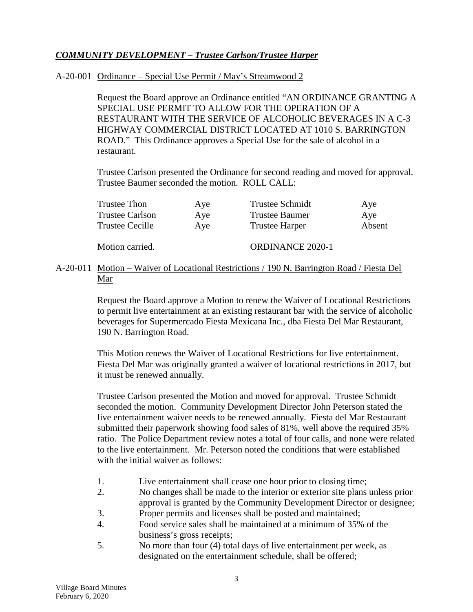# *COMMUNITY DEVELOPMENT – Trustee Carlson/Trustee Harper*

### A-20-001 Ordinance – Special Use Permit / May's Streamwood 2

Request the Board approve an Ordinance entitled "AN ORDINANCE GRANTING A SPECIAL USE PERMIT TO ALLOW FOR THE OPERATION OF A RESTAURANT WITH THE SERVICE OF ALCOHOLIC BEVERAGES IN A C-3 HIGHWAY COMMERCIAL DISTRICT LOCATED AT 1010 S. BARRINGTON ROAD." This Ordinance approves a Special Use for the sale of alcohol in a restaurant.

Trustee Carlson presented the Ordinance for second reading and moved for approval. Trustee Baumer seconded the motion. ROLL CALL:

| Trustee Thon           | Aye | Trustee Schmidt       | Aye    |
|------------------------|-----|-----------------------|--------|
| <b>Trustee Carlson</b> | Aye | <b>Trustee Baumer</b> | Aye    |
| <b>Trustee Cecille</b> | Aye | <b>Trustee Harper</b> | Absent |

Motion carried. CORDINANCE 2020-1

### A-20-011 Motion – Waiver of Locational Restrictions / 190 N. Barrington Road / Fiesta Del Mar

Request the Board approve a Motion to renew the Waiver of Locational Restrictions to permit live entertainment at an existing restaurant bar with the service of alcoholic beverages for Supermercado Fiesta Mexicana Inc., dba Fiesta Del Mar Restaurant, 190 N. Barrington Road.

This Motion renews the Waiver of Locational Restrictions for live entertainment. Fiesta Del Mar was originally granted a waiver of locational restrictions in 2017, but it must be renewed annually.

Trustee Carlson presented the Motion and moved for approval. Trustee Schmidt seconded the motion. Community Development Director John Peterson stated the live entertainment waiver needs to be renewed annually. Fiesta del Mar Restaurant submitted their paperwork showing food sales of 81%, well above the required 35% ratio. The Police Department review notes a total of four calls, and none were related to the live entertainment. Mr. Peterson noted the conditions that were established with the initial waiver as follows:

- 1. Live entertainment shall cease one hour prior to closing time;
- 2. No changes shall be made to the interior or exterior site plans unless prior approval is granted by the Community Development Director or designee;
- 3. Proper permits and licenses shall be posted and maintained;
- 4. Food service sales shall be maintained at a minimum of 35% of the business's gross receipts;
- 5. No more than four (4) total days of live entertainment per week, as designated on the entertainment schedule, shall be offered;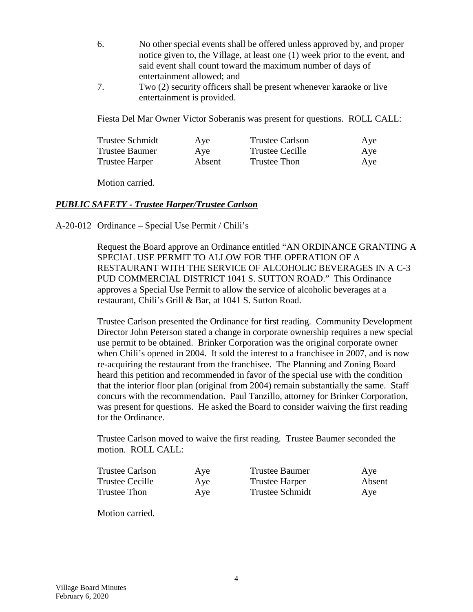- 6. No other special events shall be offered unless approved by, and proper notice given to, the Village, at least one (1) week prior to the event, and said event shall count toward the maximum number of days of entertainment allowed; and
- 7. Two (2) security officers shall be present whenever karaoke or live entertainment is provided.

Fiesta Del Mar Owner Victor Soberanis was present for questions. ROLL CALL:

| <b>Trustee Schmidt</b> | Aye    | <b>Trustee Carlson</b> | Aye |
|------------------------|--------|------------------------|-----|
| <b>Trustee Baumer</b>  | Aye    | Trustee Cecille        | Aye |
| <b>Trustee Harper</b>  | Absent | Trustee Thon           | Aye |

Motion carried.

### *PUBLIC SAFETY - Trustee Harper/Trustee Carlson*

#### A-20-012 Ordinance – Special Use Permit / Chili's

Request the Board approve an Ordinance entitled "AN ORDINANCE GRANTING A SPECIAL USE PERMIT TO ALLOW FOR THE OPERATION OF A RESTAURANT WITH THE SERVICE OF ALCOHOLIC BEVERAGES IN A C-3 PUD COMMERCIAL DISTRICT 1041 S. SUTTON ROAD." This Ordinance approves a Special Use Permit to allow the service of alcoholic beverages at a restaurant, Chili's Grill & Bar, at 1041 S. Sutton Road.

Trustee Carlson presented the Ordinance for first reading. Community Development Director John Peterson stated a change in corporate ownership requires a new special use permit to be obtained. Brinker Corporation was the original corporate owner when Chili's opened in 2004. It sold the interest to a franchisee in 2007, and is now re-acquiring the restaurant from the franchisee. The Planning and Zoning Board heard this petition and recommended in favor of the special use with the condition that the interior floor plan (original from 2004) remain substantially the same. Staff concurs with the recommendation. Paul Tanzillo, attorney for Brinker Corporation, was present for questions. He asked the Board to consider waiving the first reading for the Ordinance.

Trustee Carlson moved to waive the first reading. Trustee Baumer seconded the motion. ROLL CALL:

| <b>Trustee Carlson</b> | Aye | Trustee Baumer         | Aye    |
|------------------------|-----|------------------------|--------|
| Trustee Cecille        | Aye | <b>Trustee Harper</b>  | Absent |
| Trustee Thon           | Aye | <b>Trustee Schmidt</b> | Aye    |

Motion carried.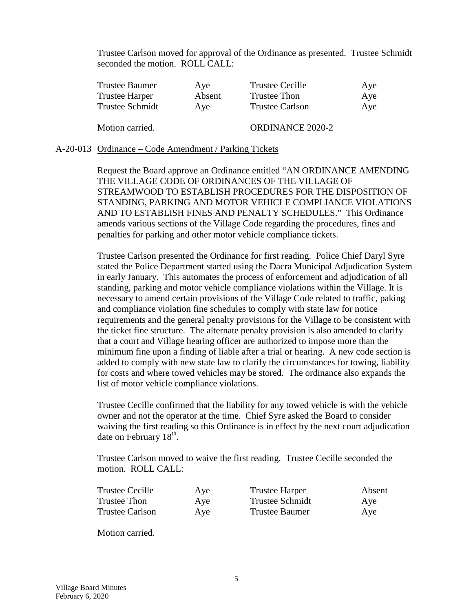Trustee Carlson moved for approval of the Ordinance as presented. Trustee Schmidt seconded the motion. ROLL CALL:

| <b>Trustee Baumer</b> | Aye    | <b>Trustee Cecille</b>  | Aye |
|-----------------------|--------|-------------------------|-----|
| <b>Trustee Harper</b> | Absent | Trustee Thon            | Aye |
| Trustee Schmidt       | Ave    | <b>Trustee Carlson</b>  | Aye |
| Motion carried.       |        | <b>ORDINANCE 2020-2</b> |     |

#### A-20-013 Ordinance – Code Amendment / Parking Tickets

Request the Board approve an Ordinance entitled "AN ORDINANCE AMENDING THE VILLAGE CODE OF ORDINANCES OF THE VILLAGE OF STREAMWOOD TO ESTABLISH PROCEDURES FOR THE DISPOSITION OF STANDING, PARKING AND MOTOR VEHICLE COMPLIANCE VIOLATIONS AND TO ESTABLISH FINES AND PENALTY SCHEDULES." This Ordinance amends various sections of the Village Code regarding the procedures, fines and penalties for parking and other motor vehicle compliance tickets.

Trustee Carlson presented the Ordinance for first reading. Police Chief Daryl Syre stated the Police Department started using the Dacra Municipal Adjudication System in early January. This automates the process of enforcement and adjudication of all standing, parking and motor vehicle compliance violations within the Village. It is necessary to amend certain provisions of the Village Code related to traffic, paking and compliance violation fine schedules to comply with state law for notice requirements and the general penalty provisions for the Village to be consistent with the ticket fine structure. The alternate penalty provision is also amended to clarify that a court and Village hearing officer are authorized to impose more than the minimum fine upon a finding of liable after a trial or hearing. A new code section is added to comply with new state law to clarify the circumstances for towing, liability for costs and where towed vehicles may be stored. The ordinance also expands the list of motor vehicle compliance violations.

Trustee Cecille confirmed that the liability for any towed vehicle is with the vehicle owner and not the operator at the time. Chief Syre asked the Board to consider waiving the first reading so this Ordinance is in effect by the next court adjudication date on February  $18<sup>th</sup>$ .

Trustee Carlson moved to waive the first reading. Trustee Cecille seconded the motion. ROLL CALL:

| <b>Trustee Cecille</b> | Aye | <b>Trustee Harper</b>  | Absent |
|------------------------|-----|------------------------|--------|
| Trustee Thon           | Aye | <b>Trustee Schmidt</b> | Aye    |
| <b>Trustee Carlson</b> | Aye | Trustee Baumer         | Aye    |

Motion carried.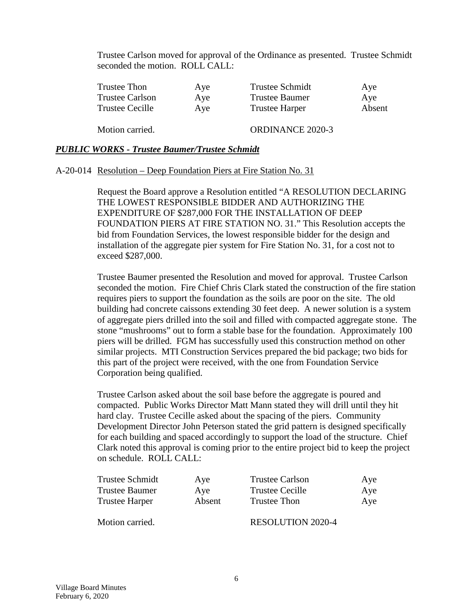Trustee Carlson moved for approval of the Ordinance as presented. Trustee Schmidt seconded the motion. ROLL CALL:

| Trustee Thon           | Aye | <b>Trustee Schmidt</b>  | Aye    |
|------------------------|-----|-------------------------|--------|
| <b>Trustee Carlson</b> | Aye | <b>Trustee Baumer</b>   | Aye    |
| Trustee Cecille        | Aye | <b>Trustee Harper</b>   | Absent |
| Motion carried.        |     | <b>ORDINANCE 2020-3</b> |        |

#### *PUBLIC WORKS - Trustee Baumer/Trustee Schmidt*

#### A-20-014 Resolution – Deep Foundation Piers at Fire Station No. 31

Request the Board approve a Resolution entitled "A RESOLUTION DECLARING THE LOWEST RESPONSIBLE BIDDER AND AUTHORIZING THE EXPENDITURE OF \$287,000 FOR THE INSTALLATION OF DEEP FOUNDATION PIERS AT FIRE STATION NO. 31." This Resolution accepts the bid from Foundation Services, the lowest responsible bidder for the design and installation of the aggregate pier system for Fire Station No. 31, for a cost not to exceed \$287,000.

Trustee Baumer presented the Resolution and moved for approval. Trustee Carlson seconded the motion. Fire Chief Chris Clark stated the construction of the fire station requires piers to support the foundation as the soils are poor on the site. The old building had concrete caissons extending 30 feet deep. A newer solution is a system of aggregate piers drilled into the soil and filled with compacted aggregate stone. The stone "mushrooms" out to form a stable base for the foundation. Approximately 100 piers will be drilled. FGM has successfully used this construction method on other similar projects. MTI Construction Services prepared the bid package; two bids for this part of the project were received, with the one from Foundation Service Corporation being qualified.

Trustee Carlson asked about the soil base before the aggregate is poured and compacted. Public Works Director Matt Mann stated they will drill until they hit hard clay. Trustee Cecille asked about the spacing of the piers. Community Development Director John Peterson stated the grid pattern is designed specifically for each building and spaced accordingly to support the load of the structure. Chief Clark noted this approval is coming prior to the entire project bid to keep the project on schedule. ROLL CALL:

| Trustee Schmidt       | Aye    | <b>Trustee Carlson</b>   | Aye |
|-----------------------|--------|--------------------------|-----|
| <b>Trustee Baumer</b> | Ave    | Trustee Cecille          | Aye |
| <b>Trustee Harper</b> | Absent | Trustee Thon             | Aye |
| Motion carried.       |        | <b>RESOLUTION 2020-4</b> |     |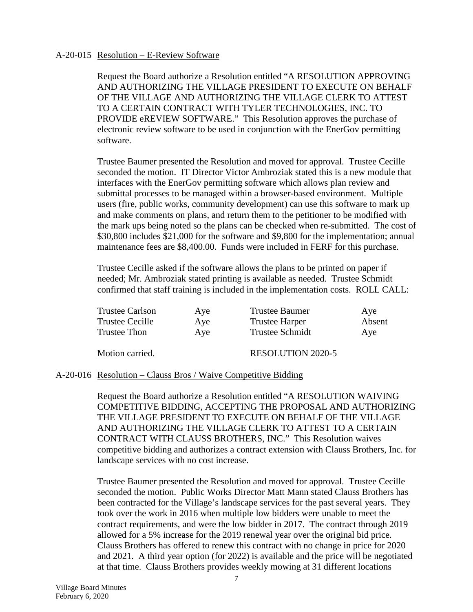### A-20-015 Resolution – E-Review Software

Request the Board authorize a Resolution entitled "A RESOLUTION APPROVING AND AUTHORIZING THE VILLAGE PRESIDENT TO EXECUTE ON BEHALF OF THE VILLAGE AND AUTHORIZING THE VILLAGE CLERK TO ATTEST TO A CERTAIN CONTRACT WITH TYLER TECHNOLOGIES, INC. TO PROVIDE eREVIEW SOFTWARE." This Resolution approves the purchase of electronic review software to be used in conjunction with the EnerGov permitting software.

Trustee Baumer presented the Resolution and moved for approval. Trustee Cecille seconded the motion. IT Director Victor Ambroziak stated this is a new module that interfaces with the EnerGov permitting software which allows plan review and submittal processes to be managed within a browser-based environment. Multiple users (fire, public works, community development) can use this software to mark up and make comments on plans, and return them to the petitioner to be modified with the mark ups being noted so the plans can be checked when re-submitted. The cost of \$30,800 includes \$21,000 for the software and \$9,800 for the implementation; annual maintenance fees are \$8,400.00. Funds were included in FERF for this purchase.

Trustee Cecille asked if the software allows the plans to be printed on paper if needed; Mr. Ambroziak stated printing is available as needed. Trustee Schmidt confirmed that staff training is included in the implementation costs. ROLL CALL:

| Trustee Carlson | Aye | Trustee Baumer        | Aye    |
|-----------------|-----|-----------------------|--------|
| Trustee Cecille | Aye | <b>Trustee Harper</b> | Absent |
| Trustee Thon    | Aye | Trustee Schmidt       | Aye    |

Motion carried. RESOLUTION 2020-5

### A-20-016 Resolution – Clauss Bros / Waive Competitive Bidding

Request the Board authorize a Resolution entitled "A RESOLUTION WAIVING COMPETITIVE BIDDING, ACCEPTING THE PROPOSAL AND AUTHORIZING THE VILLAGE PRESIDENT TO EXECUTE ON BEHALF OF THE VILLAGE AND AUTHORIZING THE VILLAGE CLERK TO ATTEST TO A CERTAIN CONTRACT WITH CLAUSS BROTHERS, INC." This Resolution waives competitive bidding and authorizes a contract extension with Clauss Brothers, Inc. for landscape services with no cost increase.

Trustee Baumer presented the Resolution and moved for approval. Trustee Cecille seconded the motion. Public Works Director Matt Mann stated Clauss Brothers has been contracted for the Village's landscape services for the past several years. They took over the work in 2016 when multiple low bidders were unable to meet the contract requirements, and were the low bidder in 2017. The contract through 2019 allowed for a 5% increase for the 2019 renewal year over the original bid price. Clauss Brothers has offered to renew this contract with no change in price for 2020 and 2021. A third year option (for 2022) is available and the price will be negotiated at that time. Clauss Brothers provides weekly mowing at 31 different locations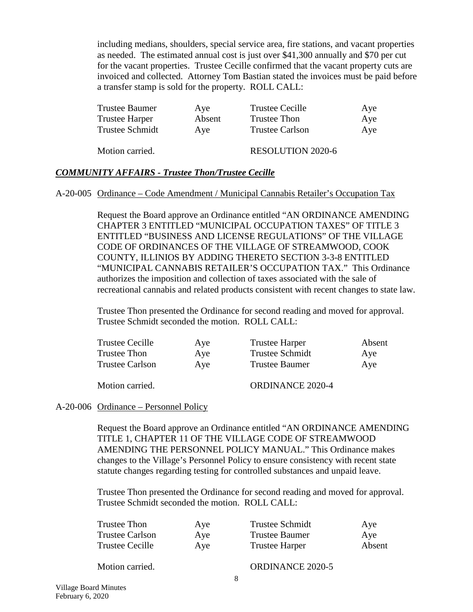including medians, shoulders, special service area, fire stations, and vacant properties as needed. The estimated annual cost is just over \$41,300 annually and \$70 per cut for the vacant properties. Trustee Cecille confirmed that the vacant property cuts are invoiced and collected. Attorney Tom Bastian stated the invoices must be paid before a transfer stamp is sold for the property. ROLL CALL:

| <b>Trustee Baumer</b> | Aye    | Trustee Cecille        | Aye |
|-----------------------|--------|------------------------|-----|
| Trustee Harper        | Absent | Trustee Thon           | Aye |
| Trustee Schmidt       | Aye    | <b>Trustee Carlson</b> | Aye |

Motion carried. RESOLUTION 2020-6

#### *COMMUNITY AFFAIRS - Trustee Thon/Trustee Cecille*

#### A-20-005 Ordinance – Code Amendment / Municipal Cannabis Retailer's Occupation Tax

Request the Board approve an Ordinance entitled "AN ORDINANCE AMENDING CHAPTER 3 ENTITLED "MUNICIPAL OCCUPATION TAXES" OF TITLE 3 ENTITLED "BUSINESS AND LICENSE REGULATIONS" OF THE VILLAGE CODE OF ORDINANCES OF THE VILLAGE OF STREAMWOOD, COOK COUNTY, ILLINIOS BY ADDING THERETO SECTION 3-3-8 ENTITLED "MUNICIPAL CANNABIS RETAILER'S OCCUPATION TAX." This Ordinance authorizes the imposition and collection of taxes associated with the sale of recreational cannabis and related products consistent with recent changes to state law.

Trustee Thon presented the Ordinance for second reading and moved for approval. Trustee Schmidt seconded the motion. ROLL CALL:

| <b>Trustee Cecille</b> | Aye | <b>Trustee Harper</b>   | Absent |
|------------------------|-----|-------------------------|--------|
| Trustee Thon           | Ave | <b>Trustee Schmidt</b>  | Ave    |
| <b>Trustee Carlson</b> | Ave | <b>Trustee Baumer</b>   | Aye    |
| Motion carried.        |     | <b>ORDINANCE 2020-4</b> |        |

#### A-20-006 Ordinance – Personnel Policy

Request the Board approve an Ordinance entitled "AN ORDINANCE AMENDING TITLE 1, CHAPTER 11 OF THE VILLAGE CODE OF STREAMWOOD AMENDING THE PERSONNEL POLICY MANUAL." This Ordinance makes changes to the Village's Personnel Policy to ensure consistency with recent state statute changes regarding testing for controlled substances and unpaid leave.

Trustee Thon presented the Ordinance for second reading and moved for approval. Trustee Schmidt seconded the motion. ROLL CALL:

| Trustee Thon    | Aye | Trustee Schmidt       | Aye    |
|-----------------|-----|-----------------------|--------|
| Trustee Carlson | Aye | Trustee Baumer        | Ave    |
| Trustee Cecille | Aye | <b>Trustee Harper</b> | Absent |
|                 |     |                       |        |

Motion carried. CORDINANCE 2020-5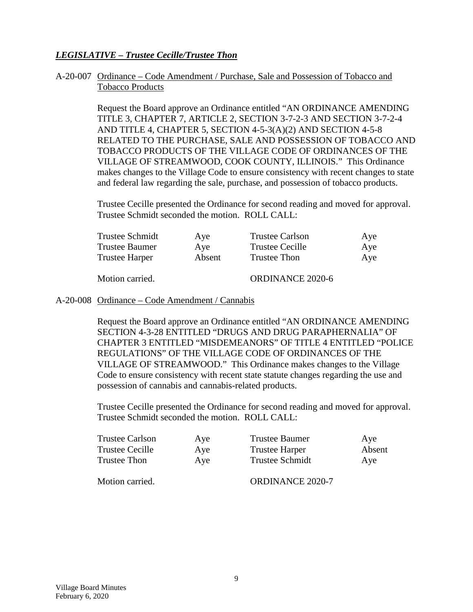### *LEGISLATIVE – Trustee Cecille/Trustee Thon*

### A-20-007 Ordinance – Code Amendment / Purchase, Sale and Possession of Tobacco and Tobacco Products

Request the Board approve an Ordinance entitled "AN ORDINANCE AMENDING TITLE 3, CHAPTER 7, ARTICLE 2, SECTION 3-7-2-3 AND SECTION 3-7-2-4 AND TITLE 4, CHAPTER 5, SECTION 4-5-3(A)(2) AND SECTION 4-5-8 RELATED TO THE PURCHASE, SALE AND POSSESSION OF TOBACCO AND TOBACCO PRODUCTS OF THE VILLAGE CODE OF ORDINANCES OF THE VILLAGE OF STREAMWOOD, COOK COUNTY, ILLINOIS." This Ordinance makes changes to the Village Code to ensure consistency with recent changes to state and federal law regarding the sale, purchase, and possession of tobacco products.

Trustee Cecille presented the Ordinance for second reading and moved for approval. Trustee Schmidt seconded the motion. ROLL CALL:

| Trustee Schmidt       | Aye    | <b>Trustee Carlson</b>  | Aye |
|-----------------------|--------|-------------------------|-----|
| <b>Trustee Baumer</b> | Aye    | <b>Trustee Cecille</b>  | Aye |
| <b>Trustee Harper</b> | Absent | Trustee Thon            | Aye |
| Motion carried.       |        | <b>ORDINANCE 2020-6</b> |     |

#### A-20-008 Ordinance – Code Amendment / Cannabis

Request the Board approve an Ordinance entitled "AN ORDINANCE AMENDING SECTION 4-3-28 ENTITLED "DRUGS AND DRUG PARAPHERNALIA" OF CHAPTER 3 ENTITLED "MISDEMEANORS" OF TITLE 4 ENTITLED "POLICE REGULATIONS" OF THE VILLAGE CODE OF ORDINANCES OF THE VILLAGE OF STREAMWOOD." This Ordinance makes changes to the Village Code to ensure consistency with recent state statute changes regarding the use and possession of cannabis and cannabis-related products.

Trustee Cecille presented the Ordinance for second reading and moved for approval. Trustee Schmidt seconded the motion. ROLL CALL:

| <b>Trustee Carlson</b><br>Trustee Cecille | Aye<br>Aye | Trustee Baumer<br><b>Trustee Harper</b> | Aye<br>Absent |
|-------------------------------------------|------------|-----------------------------------------|---------------|
| <b>Trustee Thon</b>                       | Aye        | <b>Trustee Schmidt</b>                  | Ave           |
| Motion carried.                           |            | <b>ORDINANCE 2020-7</b>                 |               |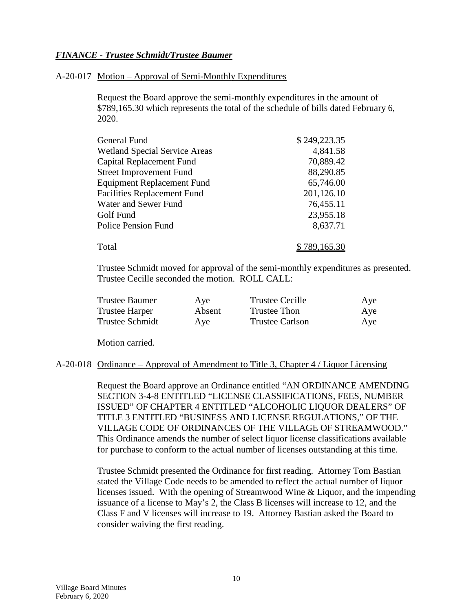### *FINANCE - Trustee Schmidt/Trustee Baumer*

#### A-20-017 Motion – Approval of Semi-Monthly Expenditures

Request the Board approve the semi-monthly expenditures in the amount of \$789,165.30 which represents the total of the schedule of bills dated February 6, 2020.

| General Fund                         | \$249,223.35 |
|--------------------------------------|--------------|
| <b>Wetland Special Service Areas</b> | 4,841.58     |
| Capital Replacement Fund             | 70,889.42    |
| <b>Street Improvement Fund</b>       | 88,290.85    |
| <b>Equipment Replacement Fund</b>    | 65,746.00    |
| <b>Facilities Replacement Fund</b>   | 201,126.10   |
| Water and Sewer Fund                 | 76,455.11    |
| Golf Fund                            | 23,955.18    |
| <b>Police Pension Fund</b>           | 8,637.71     |
|                                      |              |
| Total                                | \$789,165.30 |

Trustee Schmidt moved for approval of the semi-monthly expenditures as presented. Trustee Cecille seconded the motion. ROLL CALL:

| Trustee Baumer        | Aye    | Trustee Cecille        | Aye |
|-----------------------|--------|------------------------|-----|
| <b>Trustee Harper</b> | Absent | Trustee Thon           | Aye |
| Trustee Schmidt       | Aye    | <b>Trustee Carlson</b> | Aye |

Motion carried.

#### A-20-018 Ordinance – Approval of Amendment to Title 3, Chapter 4 / Liquor Licensing

Request the Board approve an Ordinance entitled "AN ORDINANCE AMENDING SECTION 3-4-8 ENTITLED "LICENSE CLASSIFICATIONS, FEES, NUMBER ISSUED" OF CHAPTER 4 ENTITLED "ALCOHOLIC LIQUOR DEALERS" OF TITLE 3 ENTITLED "BUSINESS AND LICENSE REGULATIONS," OF THE VILLAGE CODE OF ORDINANCES OF THE VILLAGE OF STREAMWOOD." This Ordinance amends the number of select liquor license classifications available for purchase to conform to the actual number of licenses outstanding at this time.

Trustee Schmidt presented the Ordinance for first reading. Attorney Tom Bastian stated the Village Code needs to be amended to reflect the actual number of liquor licenses issued. With the opening of Streamwood Wine & Liquor, and the impending issuance of a license to May's 2, the Class B licenses will increase to 12, and the Class F and V licenses will increase to 19. Attorney Bastian asked the Board to consider waiving the first reading.